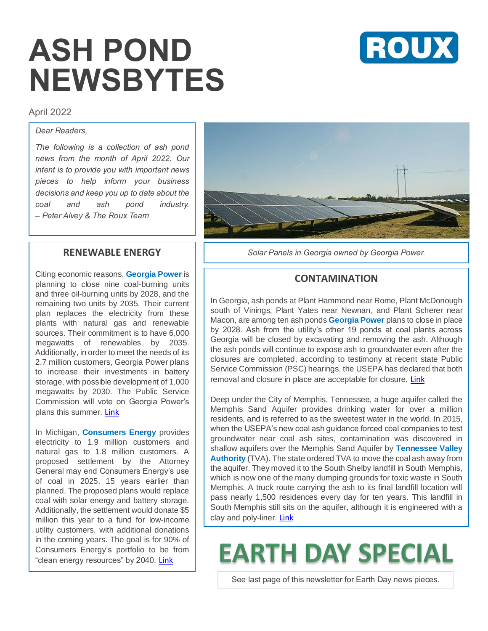# **ASH POND NEWSBYTES**



#### April 2022

#### *Dear Readers,*

*The following is a collection of ash pond news from the month of April 2022. Our intent is to provide you with important news pieces to help inform your business decisions and keep you up to date about the coal and ash pond industry. – Peter Alvey & The Roux Team*

#### **RENEWABLE ENERGY**

Citing economic reasons, **Georgia Power** is planning to close nine coal-burning units and three oil-burning units by 2028, and the remaining two units by 2035. Their current plan replaces the electricity from these plants with natural gas and renewable sources. Their commitment is to have 6,000 megawatts of renewables by 2035. Additionally, in order to meet the needs of its 2.7 million customers, Georgia Power plans to increase their investments in battery storage, with possible development of 1,000 megawatts by 2030. The Public Service Commission will vote on Georgia Power's plans this summer. [Link](http://capitol-beat.org/2022/04/georgia-power-presents-plan-to-reduce-reliance-on-coal-boost-use-of-renewables/?utm_medium=email)

In Michigan, **Consumers Energy** provides electricity to 1.9 million customers and natural gas to 1.8 million customers. A proposed settlement by the Attorney General may end Consumers Energy's use of coal in 2025, 15 years earlier than planned. The proposed plans would replace coal with solar energy and battery storage. Additionally, the settlement would donate \$5 million this year to a fund for low-income utility customers, with additional donations in the coming years. The goal is for 90% of Consumers Energy's portfolio to be from "clean energy resources" by 2040. [Link](https://michiganadvance.com/2022/04/21/nessel-consumers-energy-reach-historic-deal-to-end-coal-use-in-3-years/?utm_medium=email)



*Solar Panels in Georgia owned by Georgia Power.*

#### **CONTAMINATION**

In Georgia, ash ponds at Plant Hammond near Rome, Plant McDonough south of Vinings, Plant Yates near Newnan, and Plant Scherer near Macon, are among ten ash ponds **Georgia Power** plans to close in place by 2028. Ash from the utility's other 19 ponds at coal plants across Georgia will be closed by excavating and removing the ash. Although the ash ponds will continue to expose ash to groundwater even after the closures are completed, according to testimony at recent state Public Service Commission (PSC) hearings, the USEPA has declared that both removal and closure in place are acceptable for closure. [Link](http://capitol-beat.org/2022/04/georgia-power-exec-closing-coal-ash-ponds-will-still-leave-contaminated-groundwater/)

Deep under the City of Memphis, Tennessee, a huge aquifer called the Memphis Sand Aquifer provides drinking water for over a million residents, and is referred to as the sweetest water in the world. In 2015, when the USEPA's new coal ash guidance forced coal companies to test groundwater near coal ash sites, contamination was discovered in shallow aquifers over the Memphis Sand Aquifer by **Tennessee Valley Authority** (TVA). The state ordered TVA to move the coal ash away from the aquifer. They moved it to the South Shelby landfill in South Memphis, which is now one of the many dumping grounds for toxic waste in South Memphis. A truck route carrying the ash to its final landfill location will pass nearly 1,500 residences every day for ten years. This landfill in South Memphis still sits on the aquifer, although it is engineered with a clay and poly-liner. [Link](https://www.theguardian.com/us-news/2022/apr/11/memphis-water-toxic-waste-comic?utm_medium=email)

## **EARTH DAY SPECIAL**

See last page of this newsletter for Earth Day news pieces.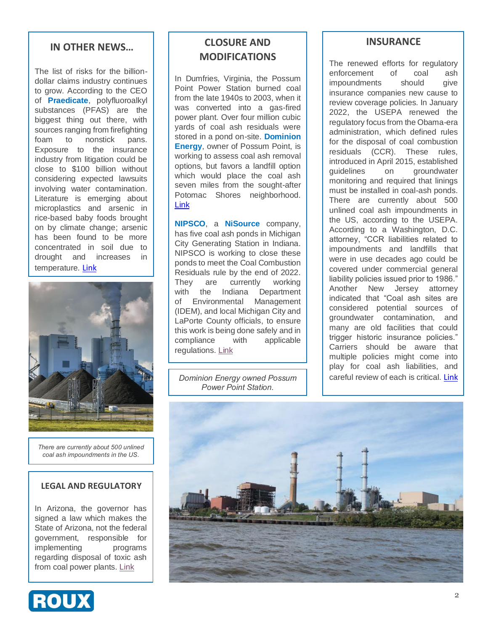#### **IN OTHER NEWS…**

The list of risks for the billiondollar claims industry continues to grow. According to the CEO of **Praedicate**, polyfluoroalkyl substances (PFAS) are the biggest thing out there, with sources ranging from firefighting foam to nonstick pans. Exposure to the insurance industry from litigation could be close to \$100 billion without considering expected lawsuits involving water contamination. Literature is emerging about microplastics and arsenic in rice-based baby foods brought on by climate change; arsenic has been found to be more concentrated in soil due to drought and increases in temperature. [Link](https://www.insurancejournal.com/news/national/2022/04/08/661899.htm)



*There are currently about 500 unlined coal ash impoundments in the US.*

#### **LEGAL AND REGULATORY**

In Arizona, the governor has signed a law which makes the State of Arizona, not the federal government, responsible for implementing programs regarding disposal of toxic ash from coal power plants. [Link](https://www.12news.com/article/news/local/arizona/governor-doug-ducey-signs-bill-putting-arizona-not-the-feds-in-control-of-coal-pollution-disposal/75-d9cc244d-b20e-40f9-8bf5-3792b845dd4c)



### **CLOSURE AND MODIFICATIONS**

In Dumfries, Virginia, the Possum Point Power Station burned coal from the late 1940s to 2003, when it was converted into a gas-fired power plant. Over four million cubic yards of coal ash residuals were stored in a pond on-site. **Dominion Energy, owner of Possum Point, is** working to assess coal ash removal options, but favors a landfill option which would place the coal ash seven miles from the sought-after Potomac Shores neighborhood. [Link](https://www.potomaclocal.com/2022/04/03/coal-ash-meeting-monday-night-at-potomac-shores-middle-school-to-discuss-closing-toxic-ponds/)

**NIPSCO**, a **NiSource** company, has five coal ash ponds in Michigan City Generating Station in Indiana. NIPSCO is working to close these ponds to meet the Coal Combustion Residuals rule by the end of 2022. They are currently working with the Indiana Department of Environmental Management (IDEM), and local Michigan City and LaPorte County officials, to ensure this work is being done safely and in compliance with applicable regulations. [Link](https://wimsradio.com/2022/04/21/nipsco-begins-work-to-retire-ash-ponds-at-michigan-city-generating-station/)

*Dominion Energy owned Possum Power Point Station.*

#### **INSURANCE**

The renewed efforts for regulatory enforcement of coal ash impoundments should give insurance companies new cause to review coverage policies. In January 2022, the USEPA renewed the regulatory focus from the Obama-era administration, which defined rules for the disposal of coal combustion residuals (CCR). These rules, introduced in April 2015, established guidelines on groundwater monitoring and required that linings must be installed in coal-ash ponds. There are currently about 500 unlined coal ash impoundments in the US, according to the USEPA. According to a Washington, D.C. attorney, "CCR liabilities related to impoundments and landfills that were in use decades ago could be covered under commercial general liability policies issued prior to 1986." Another New Jersey attorney indicated that "Coal ash sites are considered potential sources of groundwater contamination, and many are old facilities that could trigger historic insurance policies." Carriers should be aware that multiple policies might come into play for coal ash liabilities, and careful review of each is critical. [Link](https://www.businessinsurance.com/article/20220401/NEWS06/912348702/Coal-industry-on-notice-for-cleanup)